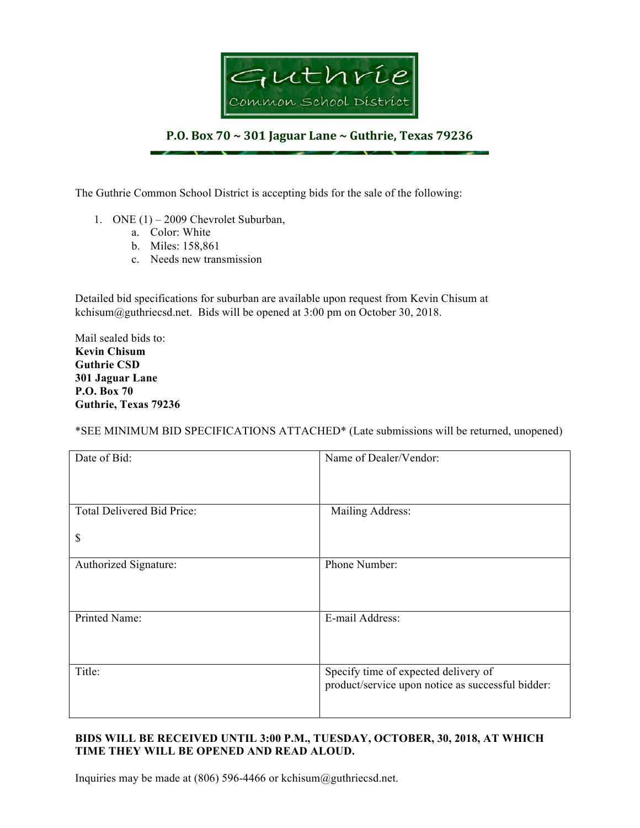

## **P.O. Box 70 ~ 301 Jaguar Lane ~ Guthrie, Texas 79236**

The Guthrie Common School District is accepting bids for the sale of the following:

- 1. ONE (1) 2009 Chevrolet Suburban,
	- a. Color: White
	- b. Miles: 158,861
	- c. Needs new transmission

Detailed bid specifications for suburban are available upon request from Kevin Chisum at kchisum@guthriecsd.net. Bids will be opened at 3:00 pm on October 30, 2018.

Mail sealed bids to: **Kevin Chisum Guthrie CSD 301 Jaguar Lane P.O. Box 70 Guthrie, Texas 79236**

\*SEE MINIMUM BID SPECIFICATIONS ATTACHED\* (Late submissions will be returned, unopened)

| Date of Bid:                     | Name of Dealer/Vendor:                                                                    |
|----------------------------------|-------------------------------------------------------------------------------------------|
| Total Delivered Bid Price:<br>\$ | Mailing Address:                                                                          |
| Authorized Signature:            | Phone Number:                                                                             |
| Printed Name:                    | E-mail Address:                                                                           |
| Title:                           | Specify time of expected delivery of<br>product/service upon notice as successful bidder: |

## **BIDS WILL BE RECEIVED UNTIL 3:00 P.M., TUESDAY, OCTOBER, 30, 2018, AT WHICH TIME THEY WILL BE OPENED AND READ ALOUD.**

Inquiries may be made at (806) 596-4466 or kchisum@guthriecsd.net.